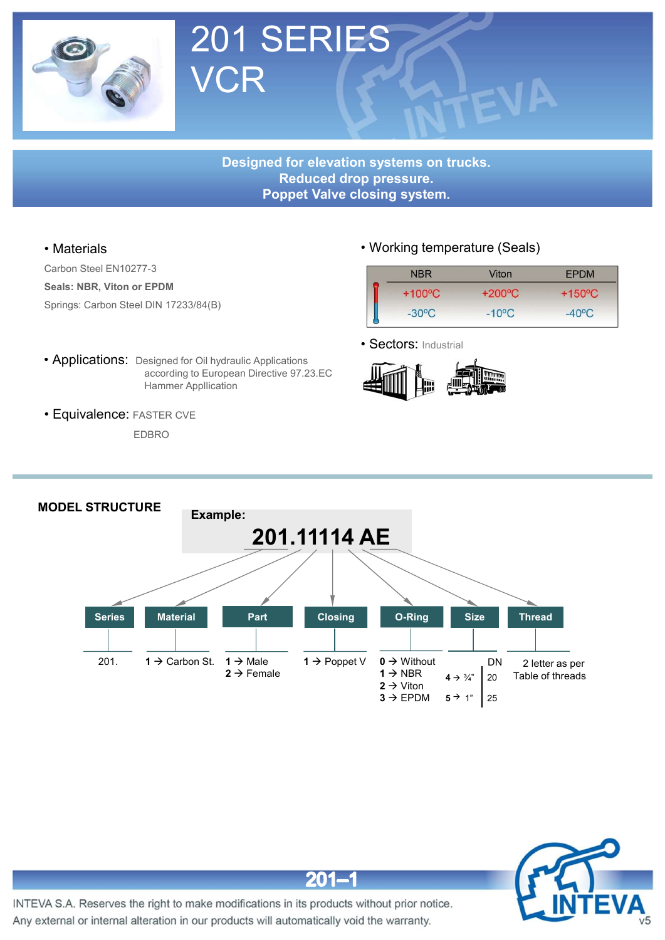

Designed for elevation systems on trucks.<br>
Reduced drop pressure.<br>
Poppet Valve closing system.<br>
• Working temperature (Seals)<br>
• Working temperature (Seals)<br>
• Working temperature (Seals)<br>
• Hammer Application<br>
• Sectors: Designed for elevation systems on trucks.<br>
Posigned for elevation systems on trucks.<br>
Poppet Valve closing system. RES<br>
The dream of the state of the state of the state of the state of the state of the state of the state of the state of the state of the state of the state of the state of the state of the state of the state of the state SERIES<br>
Poppet Valve closing system.<br>
Poppet Valve closing system.<br>
Poppet Valve closing system.<br>
Poppet Valve closing system.<br>
Poppet Valve closing system.

|                                                                                                     | 201 SERIES<br><b>VCR</b>                                                                                                          |                        |                                                   |                                    |                                          |
|-----------------------------------------------------------------------------------------------------|-----------------------------------------------------------------------------------------------------------------------------------|------------------------|---------------------------------------------------|------------------------------------|------------------------------------------|
|                                                                                                     | Designed for elevation systems on trucks.<br><b>Poppet Valve closing system.</b>                                                  | Reduced drop pressure. |                                                   |                                    |                                          |
| • Materials                                                                                         |                                                                                                                                   |                        |                                                   | • Working temperature (Seals)      |                                          |
| Carbon Steel EN10277-3<br><b>Seals: NBR, Viton or EPDM</b><br>Springs: Carbon Steel DIN 17233/84(B) |                                                                                                                                   |                        | <b>NBR</b><br>$+100^{\circ}$ C<br>$-30^{\circ}$ C | Viton<br>+200°C<br>$-10^{\circ}$ C | <b>EPDM</b><br>+150°C<br>$-40^{\circ}$ C |
|                                                                                                     | • Applications: Designed for Oil hydraulic Applications<br>according to European Directive 97.23.EC<br><b>Hammer Appllication</b> | • Sectors: Industrial  |                                                   |                                    |                                          |
| • Equivalence: FASTER CVE<br><b>EDBRO</b>                                                           |                                                                                                                                   |                        |                                                   |                                    |                                          |
|                                                                                                     |                                                                                                                                   |                        |                                                   |                                    |                                          |



- **Example 19 Consider the Consider Search Considers Carbon Steel EN10277-3**<br>
 Materials<br>
 Carbon Steel EN10277-3<br>
 Springs: Carbon Steel DIN 17233/84(B)<br>
 Springs: Carbon Steel DIN 17233/84(B)<br>
 Sectors:<br>
 Applicatio
- EDBRO



 $201 - 1$ 



INTEVA S.A. Reserves the right to make modifications in its products without prior notice. Any external or internal alteration in our products will automatically void the warranty.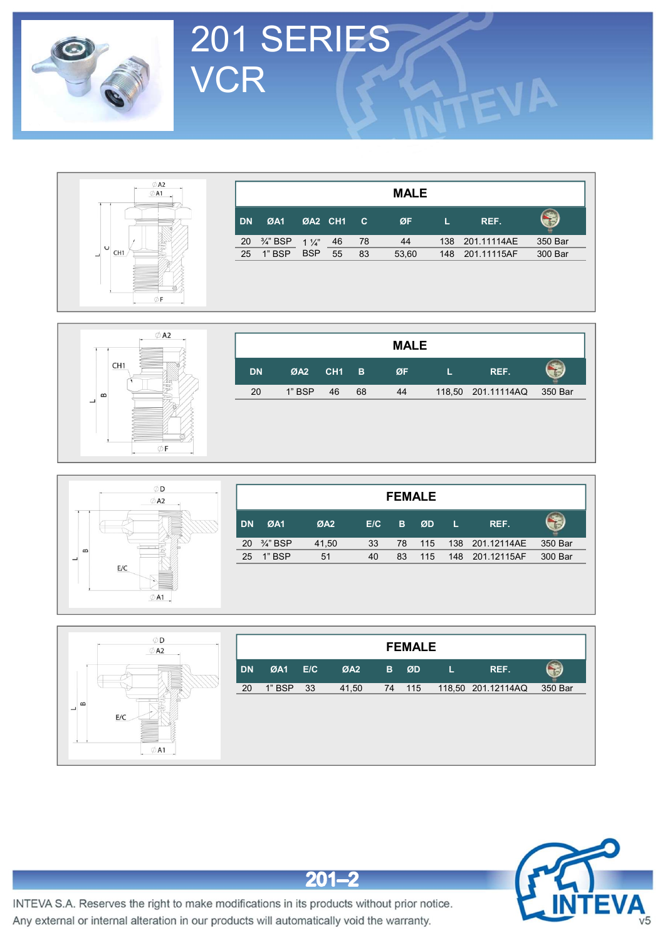



|    |                   | 1 SERIES        |                 |              |             |                |                    |         |
|----|-------------------|-----------------|-----------------|--------------|-------------|----------------|--------------------|---------|
|    |                   |                 |                 |              |             |                |                    |         |
|    | <b>R</b>          |                 |                 |              |             |                |                    |         |
|    |                   |                 |                 |              |             |                |                    |         |
|    |                   |                 |                 |              |             |                |                    |         |
|    |                   |                 |                 |              |             |                |                    |         |
|    |                   |                 |                 |              | <b>MALE</b> |                |                    |         |
| DN | ØA1               |                 | ØA2 CH1         | $\mathbf{C}$ | ØF          | $\mathsf{L}$ . | REF.               | 6       |
| 20 | $\frac{3}{4}$ BSP | $1\frac{1}{4}$  | 46              | 78           | 44          | 138            | 201.11114AE        | 350 Bar |
| 25 | $1"$ BSP          | <b>BSP</b>      | $\overline{55}$ | 83           | 53,60       | 148            | 201.11115AF        | 300 Bar |
|    |                   |                 |                 |              |             |                |                    |         |
|    |                   |                 |                 |              |             |                |                    |         |
|    |                   |                 |                 |              |             |                |                    |         |
|    |                   |                 |                 |              |             |                |                    |         |
|    |                   |                 |                 |              | <b>MALE</b> |                |                    |         |
|    | <b>DN</b>         | ØA <sub>2</sub> | CH <sub>1</sub> | B            | ØF          | $\mathsf{L}$   | REF.               | Ŧ       |
|    | 20                | 1" BSP          | 46              | 68           | 44          |                | 118,50 201.11114AQ | 350 Bar |
|    |                   |                 |                 |              |             |                |                    |         |

201 SERIES

**VCR** 



|           |                 |     |     | <b>MALE</b> |                            |  |
|-----------|-----------------|-----|-----|-------------|----------------------------|--|
| <b>DN</b> | ØA <sub>2</sub> | CH1 | - в | ØF          | REF.                       |  |
| 20        | $1"$ BSP        | 46  | 68  | 44          | 118,50 201.11114AQ 350 Bar |  |
|           |                 |     |     |             |                            |  |



| 20 | $\frac{3}{4}$ " BSP | $1\frac{1}{4}$  | 46              | 78              | 44              | 138          |                | 201.11114AE        | 350 Bar |
|----|---------------------|-----------------|-----------------|-----------------|-----------------|--------------|----------------|--------------------|---------|
| 25 | 1" BSP              | <b>BSP</b>      | 55              | 83              | 53,60           | 148          |                | 201.11115AF        | 300 Bar |
|    |                     |                 |                 |                 |                 |              |                |                    |         |
|    |                     |                 |                 |                 |                 |              |                |                    |         |
|    |                     |                 |                 |                 |                 |              |                |                    |         |
|    |                     |                 |                 |                 |                 |              |                |                    |         |
|    |                     |                 |                 |                 |                 |              |                |                    |         |
|    |                     |                 |                 |                 | <b>MALE</b>     |              |                |                    |         |
|    | ${\bf DN}$          | ØA <sub>2</sub> | CH <sub>1</sub> | $\, {\bf B} \,$ | ØF              | $\mathsf{L}$ |                | REF.               | 8       |
|    | 20                  | $1"$ BSP        | 46              | 68              | 44              |              |                | 118,50 201.11114AQ | 350 Bar |
|    |                     |                 |                 |                 |                 |              |                |                    |         |
|    |                     |                 |                 |                 |                 |              |                |                    |         |
|    |                     |                 |                 |                 |                 |              |                |                    |         |
|    |                     |                 |                 |                 |                 |              |                |                    |         |
|    |                     |                 |                 |                 |                 |              |                |                    |         |
|    |                     |                 |                 |                 |                 |              |                |                    |         |
|    |                     |                 |                 |                 |                 |              |                |                    |         |
|    |                     |                 |                 |                 | <b>FEMALE</b>   |              |                |                    |         |
|    | ØA1                 |                 | ØA <sub>2</sub> | E/C             | $\, {\bf B} \,$ | ØD           | $\mathbf{L}_1$ | REF.               | (*)     |
| 20 | $\frac{3}{4}$ " BSP |                 | 41,50           | 33              | 78              | 115          | 138            | 201.12114AE        | 350 Bar |
| DN | 25 1" BSP           |                 | 51              | 40              | 83              | 115          |                | 148 201.12115AF    | 300 Bar |
|    |                     |                 |                 |                 |                 |              |                |                    |         |
|    |                     |                 |                 |                 |                 |              |                |                    |         |
|    |                     |                 |                 |                 |                 |              |                |                    |         |



 $201 - 2$ 



INTEVA S.A. Reserves the right to make modifications in its products without prior notice. Any external or internal alteration in our products will automatically void the warranty.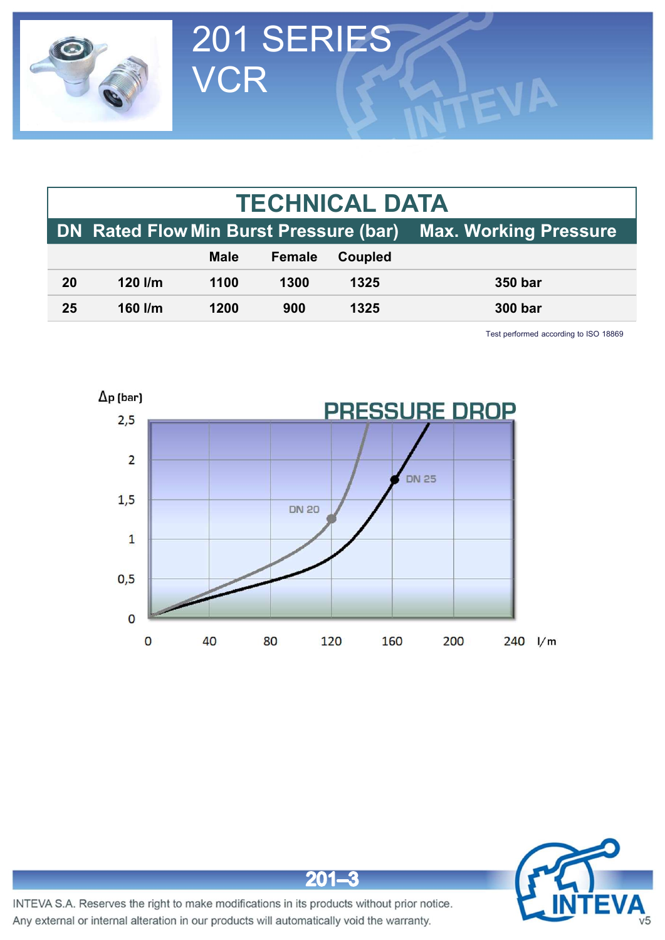

|    |                                               | 201 SERIES<br><b>VCR</b> |        |                       |                                       |
|----|-----------------------------------------------|--------------------------|--------|-----------------------|---------------------------------------|
|    |                                               |                          |        |                       |                                       |
|    |                                               |                          |        | <b>TECHNICAL DATA</b> |                                       |
|    | <b>DN Rated Flow Min Burst Pressure (bar)</b> |                          |        |                       | <b>Max. Working Pressure</b>          |
|    |                                               | <b>Male</b>              | Female | Coupled               |                                       |
|    |                                               |                          |        | 1325                  | 350 bar                               |
| 20 | 120 l/m                                       | 1100                     | 1300   |                       |                                       |
| 25 | 160 l/m                                       | 1200                     | 900    | 1325                  | <b>300 bar</b>                        |
|    |                                               |                          |        |                       | Test performed according to ISO 18869 |
|    |                                               |                          |        |                       |                                       |
|    | $\Delta p$ (bar)                              |                          |        |                       |                                       |



 $201 - 3$